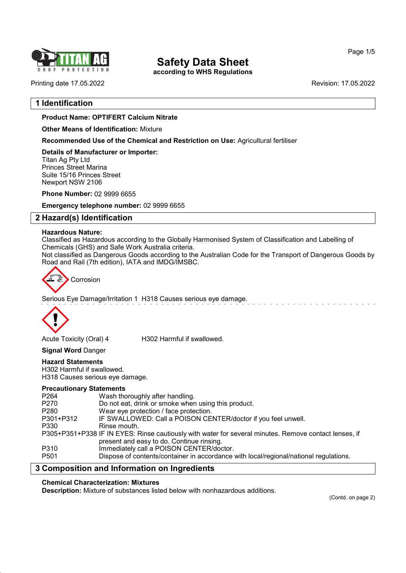

## Safety Data Sheet

according to WHS Regulations

Printing date 17.05.2022 Revision: 17.05.2022

## 1 Identification

## Product Name: OPTIFERT Calcium Nitrate

Other Means of Identification: Mixture

Recommended Use of the Chemical and Restriction on Use: Agricultural fertiliser

Details of Manufacturer or Importer: Titan Ag Pty Ltd Princes Street Marina Suite 15/16 Princes Street Newport NSW 2106

Phone Number: 02 9999 6655

Emergency telephone number: 02 9999 6655

## 2 Hazard(s) Identification

## Hazardous Nature:

Classified as Hazardous according to the Globally Harmonised System of Classification and Labelling of Chemicals (GHS) and Safe Work Australia criteria.

Not classified as Dangerous Goods according to the Australian Code for the Transport of Dangerous Goods by Road and Rail (7th edition), IATA and IMDG/IMSBC.

$$
\begin{array}{ccc}\n\sqrt{2} & \text{Corrosion} \\
\end{array}
$$

Serious Eye Damage/Irritation 1 H318 Causes serious eye damage.



54.0

Acute Toxicity (Oral) 4 H302 Harmful if swallowed.

Signal Word Danger

## Hazard Statements

H302 Harmful if swallowed. H318 Causes serious eye damage.

## Precautionary Statements

| P <sub>264</sub> | Wash thoroughly after handling.                                                                       |
|------------------|-------------------------------------------------------------------------------------------------------|
| P270             | Do not eat, drink or smoke when using this product.                                                   |
| P <sub>280</sub> | Wear eye protection / face protection.                                                                |
| P301+P312        | IF SWALLOWED: Call a POISON CENTER/doctor if you feel unwell.                                         |
| P330             | Rinse mouth.                                                                                          |
|                  | P305+P351+P338 IF IN EYES: Rinse cautiously with water for several minutes. Remove contact lenses, if |
|                  | present and easy to do. Continue rinsing.                                                             |
| P310             | Immediately call a POISON CENTER/doctor.                                                              |
| P <sub>501</sub> | Dispose of contents/container in accordance with local/regional/national regulations.                 |
|                  |                                                                                                       |

## 3 Composition and Information on Ingredients

## Chemical Characterization: Mixtures

Description: Mixture of substances listed below with nonhazardous additions.

(Contd. on page 2)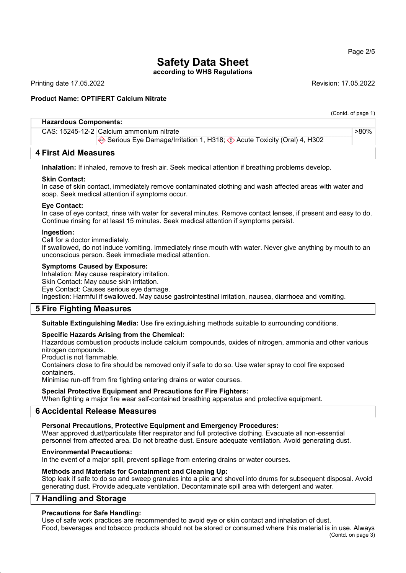## Page 2/5

## Safety Data Sheet

according to WHS Regulations

Printing date 17.05.2022 Revision: 17.05.2022

(Contd. of page 1)

>80%

## Product Name: OPTIFERT Calcium Nitrate

## Hazardous Components:

CAS: 15245-12-2 Calcium ammonium nitrate

Serious Eye Damage/Irritation 1, H318;  $\Diamond$  Acute Toxicity (Oral) 4, H302

## 4 First Aid Measures

Inhalation: If inhaled, remove to fresh air. Seek medical attention if breathing problems develop.

## Skin Contact:

In case of skin contact, immediately remove contaminated clothing and wash affected areas with water and soap. Seek medical attention if symptoms occur.

## Eye Contact:

In case of eye contact, rinse with water for several minutes. Remove contact lenses, if present and easy to do. Continue rinsing for at least 15 minutes. Seek medical attention if symptoms persist.

## Ingestion:

Call for a doctor immediately.

If swallowed, do not induce vomiting. Immediately rinse mouth with water. Never give anything by mouth to an unconscious person. Seek immediate medical attention.

## Symptoms Caused by Exposure:

Inhalation: May cause respiratory irritation.

Skin Contact: May cause skin irritation. Eye Contact: Causes serious eye damage.

Ingestion: Harmful if swallowed. May cause gastrointestinal irritation, nausea, diarrhoea and vomiting.

## 5 Fire Fighting Measures

Suitable Extinguishing Media: Use fire extinguishing methods suitable to surrounding conditions.

## Specific Hazards Arising from the Chemical:

Hazardous combustion products include calcium compounds, oxides of nitrogen, ammonia and other various nitrogen compounds.

Product is not flammable.

Containers close to fire should be removed only if safe to do so. Use water spray to cool fire exposed containers.

Minimise run-off from fire fighting entering drains or water courses.

## Special Protective Equipment and Precautions for Fire Fighters:

When fighting a major fire wear self-contained breathing apparatus and protective equipment.

## 6 Accidental Release Measures

## Personal Precautions, Protective Equipment and Emergency Procedures:

Wear approved dust/particulate filter respirator and full protective clothing. Evacuate all non-essential personnel from affected area. Do not breathe dust. Ensure adequate ventilation. Avoid generating dust.

## Environmental Precautions:

In the event of a major spill, prevent spillage from entering drains or water courses.

## Methods and Materials for Containment and Cleaning Up:

Stop leak if safe to do so and sweep granules into a pile and shovel into drums for subsequent disposal. Avoid generating dust. Provide adequate ventilation. Decontaminate spill area with detergent and water.

## 7 Handling and Storage

54.0

## Precautions for Safe Handling:

Use of safe work practices are recommended to avoid eye or skin contact and inhalation of dust. Food, beverages and tobacco products should not be stored or consumed where this material is in use. Always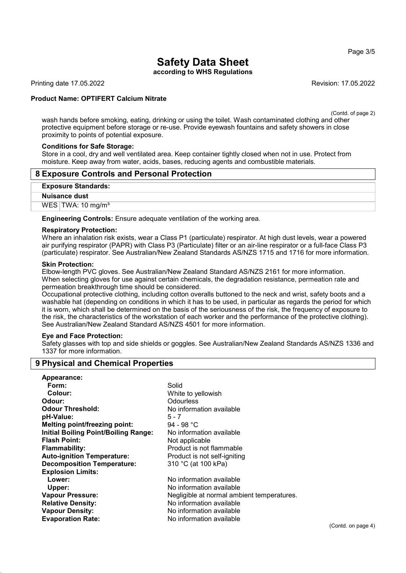## Page 3/5

# Safety Data Sheet

according to WHS Regulations

Printing date 17.05.2022 Revision: 17.05.2022

## Product Name: OPTIFERT Calcium Nitrate

(Contd. of page 2)

wash hands before smoking, eating, drinking or using the toilet. Wash contaminated clothing and other protective equipment before storage or re-use. Provide eyewash fountains and safety showers in close proximity to points of potential exposure.

## Conditions for Safe Storage:

Store in a cool, dry and well ventilated area. Keep container tightly closed when not in use. Protect from moisture. Keep away from water, acids, bases, reducing agents and combustible materials.

## 8 Exposure Controls and Personal Protection

#### Exposure Standards:

#### Nuisance dust

WES  $TWA: 10$  mg/m<sup>3</sup>

Engineering Controls: Ensure adequate ventilation of the working area.

#### Respiratory Protection:

Where an inhalation risk exists, wear a Class P1 (particulate) respirator. At high dust levels, wear a powered air purifying respirator (PAPR) with Class P3 (Particulate) filter or an air-line respirator or a full-face Class P3 (particulate) respirator. See Australian/New Zealand Standards AS/NZS 1715 and 1716 for more information.

## Skin Protection:

54.0

Elbow-length PVC gloves. See Australian/New Zealand Standard AS/NZS 2161 for more information. When selecting gloves for use against certain chemicals, the degradation resistance, permeation rate and permeation breakthrough time should be considered.

Occupational protective clothing, including cotton overalls buttoned to the neck and wrist, safety boots and a washable hat (depending on conditions in which it has to be used, in particular as regards the period for which it is worn, which shall be determined on the basis of the seriousness of the risk, the frequency of exposure to the risk, the characteristics of the workstation of each worker and the performance of the protective clothing). See Australian/New Zealand Standard AS/NZS 4501 for more information.

## Eye and Face Protection:

Safety glasses with top and side shields or goggles. See Australian/New Zealand Standards AS/NZS 1336 and 1337 for more information.

## 9 Physical and Chemical Properties

| Appearance:                                 |                                            |
|---------------------------------------------|--------------------------------------------|
| Form:                                       | Solid                                      |
| Colour:                                     | White to yellowish                         |
| Odour:                                      | Odourless                                  |
| <b>Odour Threshold:</b>                     | No information available                   |
| pH-Value:                                   | $5 - 7$                                    |
| <b>Melting point/freezing point:</b>        | 94 - 98 °C                                 |
| <b>Initial Boiling Point/Boiling Range:</b> | No information available                   |
| <b>Flash Point:</b>                         | Not applicable                             |
| <b>Flammability:</b>                        | Product is not flammable                   |
| <b>Auto-ignition Temperature:</b>           | Product is not self-igniting               |
| <b>Decomposition Temperature:</b>           | 310 °C (at 100 kPa)                        |
| <b>Explosion Limits:</b>                    |                                            |
| Lower:                                      | No information available                   |
| Upper:                                      | No information available                   |
| <b>Vapour Pressure:</b>                     | Negligible at normal ambient temperatures. |
| <b>Relative Density:</b>                    | No information available                   |
| <b>Vapour Density:</b>                      | No information available                   |
| <b>Evaporation Rate:</b>                    | No information available                   |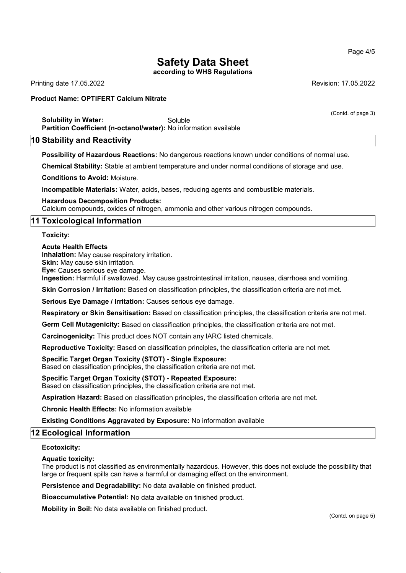## Safety Data Sheet

according to WHS Regulations

Printing date 17.05.2022 Revision: 17.05.2022

## Product Name: OPTIFERT Calcium Nitrate

(Contd. of page 3)

Solubility in Water: Soluble Partition Coefficient (n-octanol/water): No information available

## 10 Stability and Reactivity

Possibility of Hazardous Reactions: No dangerous reactions known under conditions of normal use.

Chemical Stability: Stable at ambient temperature and under normal conditions of storage and use.

Conditions to Avoid: Moisture.

Incompatible Materials: Water, acids, bases, reducing agents and combustible materials.

Hazardous Decomposition Products:

Calcium compounds, oxides of nitrogen, ammonia and other various nitrogen compounds.

## 11 Toxicological Information

Toxicity:

#### Acute Health Effects

Inhalation: May cause respiratory irritation.

Skin: May cause skin irritation.

Eye: Causes serious eye damage.

Ingestion: Harmful if swallowed. May cause gastrointestinal irritation, nausea, diarrhoea and vomiting.

Skin Corrosion / Irritation: Based on classification principles, the classification criteria are not met.

Serious Eye Damage / Irritation: Causes serious eye damage.

Respiratory or Skin Sensitisation: Based on classification principles, the classification criteria are not met.

Germ Cell Mutagenicity: Based on classification principles, the classification criteria are not met.

Carcinogenicity: This product does NOT contain any IARC listed chemicals.

Reproductive Toxicity: Based on classification principles, the classification criteria are not met.

## Specific Target Organ Toxicity (STOT) - Single Exposure:

Based on classification principles, the classification criteria are not met.

#### Specific Target Organ Toxicity (STOT) - Repeated Exposure:

Based on classification principles, the classification criteria are not met.

Aspiration Hazard: Based on classification principles, the classification criteria are not met.

Chronic Health Effects: No information available

Existing Conditions Aggravated by Exposure: No information available

## 12 Ecological Information

#### Ecotoxicity:

54.0

## Aquatic toxicity:

The product is not classified as environmentally hazardous. However, this does not exclude the possibility that large or frequent spills can have a harmful or damaging effect on the environment.

Persistence and Degradability: No data available on finished product.

Bioaccumulative Potential: No data available on finished product.

Mobility in Soil: No data available on finished product.

## Page 4/5